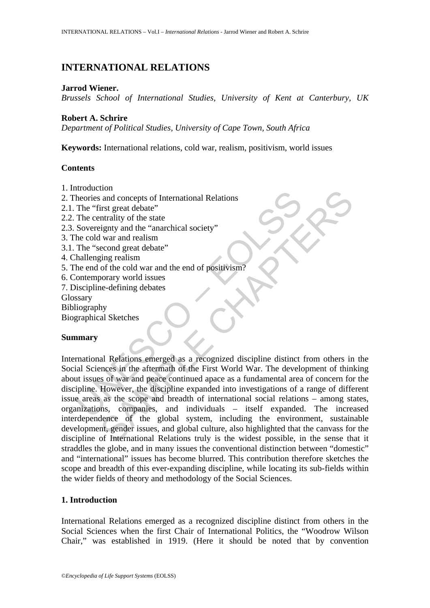# **INTERNATIONAL RELATIONS**

#### **Jarrod Wiener.**

*Brussels School of International Studies, University of Kent at Canterbury, UK*

#### **Robert A. Schrire**

*Department of Political Studies, University of Cape Town, South Africa*

**Keywords:** International relations, cold war, realism, positivism, world issues

#### **Contents**

- 1. Introduction
- 2. Theories and concepts of International Relations
- 2.1. The "first great debate"
- 2.2. The centrality of the state
- 2.3. Sovereignty and the "anarchical society"
- 3. The cold war and realism
- 3.1. The "second great debate"
- 4. Challenging realism
- 5. The end of the cold war and the end of positivism?
- 6. Contemporary world issues
- 7. Discipline-defining debates
- Glossary
- Bibliography
- Biographical Sketches

### **Summary**

mational method in the discussion of the state of the method is a method was an above eignty and the "anarchical society"<br>
The "first great debate"<br>
The centrality of the state<br>
EV second great debate"<br>
The "second great d the and concepts of International Relations<br>
and concepts of International Relations<br>
irst great debate"<br>
in gradient debate"<br>
war and relations<br>
war and relations<br>
(war and relations<br>
coond great debate"<br>
or the cold war International Relations emerged as a recognized discipline distinct from others in the Social Sciences in the aftermath of the First World War. The development of thinking about issues of war and peace continued apace as a fundamental area of concern for the discipline. However, the discipline expanded into investigations of a range of different issue areas as the scope and breadth of international social relations – among states, organizations, companies, and individuals – itself expanded. The increased interdependence of the global system, including the environment, sustainable development, gender issues, and global culture, also highlighted that the canvass for the discipline of International Relations truly is the widest possible, in the sense that it straddles the globe, and in many issues the conventional distinction between "domestic" and "international" issues has become blurred. This contribution therefore sketches the scope and breadth of this ever-expanding discipline, while locating its sub-fields within the wider fields of theory and methodology of the Social Sciences.

### **1. Introduction**

International Relations emerged as a recognized discipline distinct from others in the Social Sciences when the first Chair of International Politics, the "Woodrow Wilson Chair," was established in 1919. (Here it should be noted that by convention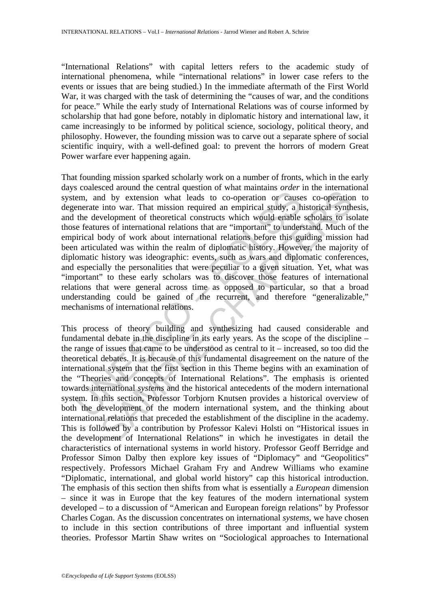"International Relations" with capital letters refers to the academic study of international phenomena, while "international relations" in lower case refers to the events or issues that are being studied.) In the immediate aftermath of the First World War, it was charged with the task of determining the "causes of war, and the conditions for peace." While the early study of International Relations was of course informed by scholarship that had gone before, notably in diplomatic history and international law, it came increasingly to be informed by political science, sociology, political theory, and philosophy. However, the founding mission was to carve out a separate sphere of social scientific inquiry, with a well-defined goal: to prevent the horrors of modern Great Power warfare ever happening again.

because a constant in event in the matrix of the means of the means of the means of the mean and by extension what leads to co-operation or cause<br>enerate into war. That mission required an empirical study, a h<br>the develop sects around ne Central question of wind manimizo order in the meanian<br>of by extension what leads to co-operation or causes co-operation<br>into war. That mission required an empirical study, a historical synth<br>velopment of t That founding mission sparked scholarly work on a number of fronts, which in the early days coalesced around the central question of what maintains *order* in the international system, and by extension what leads to co-operation or causes co-operation to degenerate into war. That mission required an empirical study, a historical synthesis, and the development of theoretical constructs which would enable scholars to isolate those features of international relations that are "important" to understand. Much of the empirical body of work about international relations before this guiding mission had been articulated was within the realm of diplomatic history. However, the majority of diplomatic history was ideographic: events, such as wars and diplomatic conferences, and especially the personalities that were peculiar to a given situation. Yet, what was "important" to these early scholars was to discover those features of international relations that were general across time as opposed to particular, so that a broad understanding could be gained of the recurrent, and therefore "generalizable," mechanisms of international relations.

This process of theory building and synthesizing had caused considerable and fundamental debate in the discipline in its early years. As the scope of the discipline – the range of issues that came to be understood as central to it – increased, so too did the theoretical debates. It is because of this fundamental disagreement on the nature of the international system that the first section in this Theme begins with an examination of the "Theories and concepts of International Relations". The emphasis is oriented towards international *systems* and the historical antecedents of the modern international system. In this section, Professor Torbjorn Knutsen provides a historical overview of both the development of the modern international system, and the thinking about international relations that preceded the establishment of the discipline in the academy. This is followed by a contribution by Professor Kalevi Holsti on "Historical issues in the development of International Relations" in which he investigates in detail the characteristics of international systems in world history. Professor Geoff Berridge and Professor Simon Dalby then explore key issues of "Diplomacy" and "Geopolitics" respectively. Professors Michael Graham Fry and Andrew Williams who examine "Diplomatic, international, and global world history" cap this historical introduction. The emphasis of this section then shifts from what is essentially a *European* dimension – since it was in Europe that the key features of the modern international system developed – to a discussion of "American and European foreign relations" by Professor Charles Cogan. As the discussion concentrates on international *systems*, we have chosen to include in this section contributions of three important and influential system theories. Professor Martin Shaw writes on "Sociological approaches to International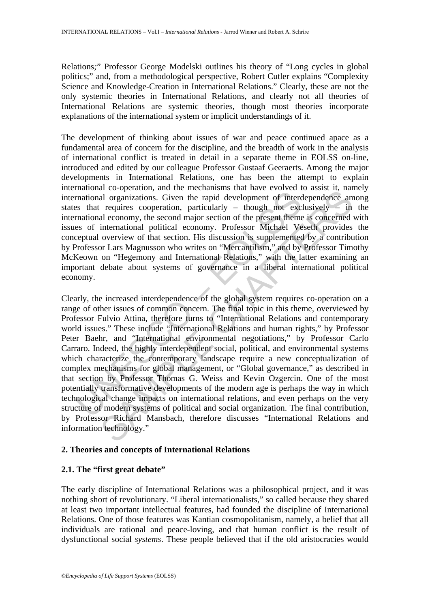Relations*;*" Professor George Modelski outlines his theory of "Long cycles in global politics;" and, from a methodological perspective, Robert Cutler explains "Complexity Science and Knowledge-Creation in International Relations." Clearly, these are not the only systemic theories in International Relations, and clearly not all theories of International Relations are systemic theories, though most theories incorporate explanations of the international system or implicit understandings of it.

The development of thinking about issues of war and peace continued apace as a fundamental area of concern for the discipline, and the breadth of work in the analysis of international conflict is treated in detail in a separate theme in EOLSS on-line, introduced and edited by our colleague Professor Gustaaf Geeraerts. Among the major developments in International Relations, one has been the attempt to explain international co-operation, and the mechanisms that have evolved to assist it, namely international organizations. Given the rapid development of interdependence among states that requires cooperation, particularly – though not exclusively – in the international economy, the second major section of the present theme is concerned with issues of international political economy. Professor Michael Veseth provides the conceptual overview of that section. His discussion is supplemented by a contribution by Professor Lars Magnusson who writes on "Mercantilism," and by Professor Timothy McKeown on "Hegemony and International Relations," with the latter examining an important debate about systems of governance in a liberal international political economy.

mational corputations. Given the rancemation dual contractional organizations. Given the rapid development of interd<br>
es that requires cooperation, particularly – though not exceptual overview of that requires cooperation, and co-peramion, and uniformizable mat are to every to assast it, and any and organizations. Given the rapid development of interdependence and economy, the second major section of the present theme is concerned internatio Clearly, the increased interdependence of the global system requires co-operation on a range of other issues of common concern. The final topic in this theme, overviewed by Professor Fulvio Attina, therefore turns to "International Relations and contemporary world issues." These include "International Relations and human rights," by Professor Peter Baehr, and "International environmental negotiations," by Professor Carlo Carraro. Indeed, the highly interdependent social, political, and environmental systems which characterize the contemporary landscape require a new conceptualization of complex mechanisms for global management, or "Global governance," as described in that section by Professor Thomas G. Weiss and Kevin Ozgercin. One of the most potentially transformative developments of the modern age is perhaps the way in which technological change impacts on international relations, and even perhaps on the very structure of modern systems of political and social organization. The final contribution, by Professor Richard Mansbach, therefore discusses "International Relations and information technology."

### **2. Theories and concepts of International Relations**

# **2.1. The "first great debate"**

The early discipline of International Relations was a philosophical project, and it was nothing short of revolutionary. "Liberal internationalists," so called because they shared at least two important intellectual features, had founded the discipline of International Relations. One of those features was Kantian cosmopolitanism, namely, a belief that all individuals are rational and peace-loving, and that human conflict is the result of dysfunctional social *systems*. These people believed that if the old aristocracies would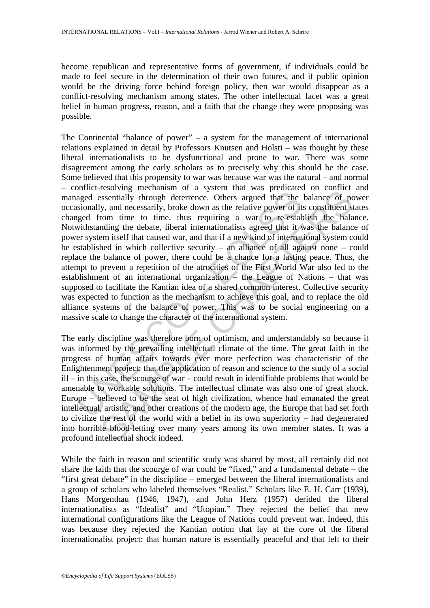become republican and representative forms of government, if individuals could be made to feel secure in the determination of their own futures, and if public opinion would be the driving force behind foreign policy, then war would disappear as a conflict-resolving mechanism among states. The other intellectual facet was a great belief in human progress, reason, and a faith that the change they were proposing was possible.

simmed to soming mecanical of the system and the system and the sionally, and necessarily, broke down as the relative power of it aged from time to time, thus requiring a war to re-estak withstanding the debate, liberal i Exercise increasing on a system unit was pecureated of contracts<br>essentially through deterrence. Others argued that the balance of positivent siron time to time, thus requiring a war to re-establish the balance of positiv The Continental "balance of power" – a system for the management of international relations explained in detail by Professors Knutsen and Holsti – was thought by these liberal internationalists to be dysfunctional and prone to war. There was some disagreement among the early scholars as to precisely why this should be the case. Some believed that this propensity to war was because war was the natural – and normal – conflict-resolving mechanism of a system that was predicated on conflict and managed essentially through deterrence. Others argued that the balance of power occasionally, and necessarily, broke down as the relative power of its constituent states changed from time to time, thus requiring a war to re-establish the balance. Notwithstanding the debate, liberal internationalists agreed that it was the balance of power system itself that caused war, and that if a new kind of international system could be established in which collective security – an alliance of all against none – could replace the balance of power, there could be a chance for a lasting peace. Thus, the attempt to prevent a repetition of the atrocities of the First World War also led to the establishment of an international organization – the League of Nations – that was supposed to facilitate the Kantian idea of a shared common interest. Collective security was expected to function as the mechanism to achieve this goal, and to replace the old alliance systems of the balance of power. This was to be social engineering on a massive scale to change the character of the international system.

The early discipline was therefore born of optimism, and understandably so because it was informed by the prevailing intellectual climate of the time. The great faith in the progress of human affairs towards ever more perfection was characteristic of the Enlightenment project: that the application of reason and science to the study of a social ill – in this case, the scourge of war – could result in identifiable problems that would be amenable to workable solutions. The intellectual climate was also one of great shock. Europe – believed to be the seat of high civilization, whence had emanated the great intellectual, artistic, and other creations of the modern age, the Europe that had set forth to civilize the rest of the world with a belief in its own superiority – had degenerated into horrible blood-letting over many years among its own member states. It was a profound intellectual shock indeed.

While the faith in reason and scientific study was shared by most, all certainly did not share the faith that the scourge of war could be "fixed," and a fundamental debate – the "first great debate" in the discipline – emerged between the liberal internationalists and a group of scholars who labeled themselves "Realist." Scholars like E. H. Carr (1939), Hans Morgenthau (1946, 1947), and John Herz (1957) derided the liberal internationalists as "Idealist" and "Utopian." They rejected the belief that new international configurations like the League of Nations could prevent war. Indeed, this was because they rejected the Kantian notion that lay at the core of the liberal internationalist project: that human nature is essentially peaceful and that left to their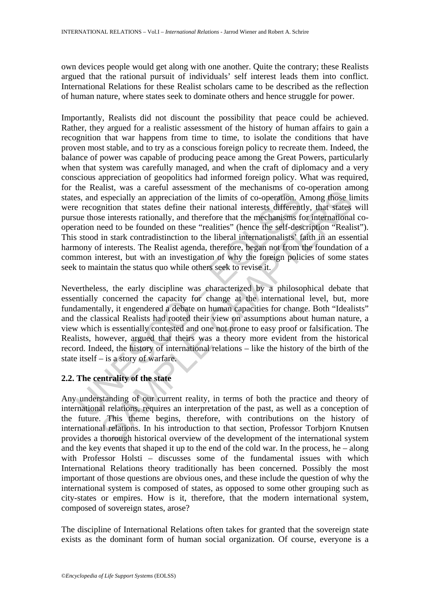own devices people would get along with one another. Quite the contrary; these Realists argued that the rational pursuit of individuals' self interest leads them into conflict. International Relations for these Realist scholars came to be described as the reflection of human nature, where states seek to dominate others and hence struggle for power.

the creating, was a cancel and calculated to the methamonial of the practional set are recognition. A execution, the recognition that states define their national interests different<br>tue those interests rationally, and the assign and action assistant of a meterialism of a conceptation and<br>especially an appreciation of the limits of co-operation. Among those li<br>especially an appreciation of the limits of co-operation, Among those li<br>mition th Importantly, Realists did not discount the possibility that peace could be achieved. Rather, they argued for a realistic assessment of the history of human affairs to gain a recognition that war happens from time to time, to isolate the conditions that have proven most stable, and to try as a conscious foreign policy to recreate them. Indeed, the balance of power was capable of producing peace among the Great Powers, particularly when that system was carefully managed, and when the craft of diplomacy and a very conscious appreciation of geopolitics had informed foreign policy. What was required, for the Realist, was a careful assessment of the mechanisms of co-operation among states, and especially an appreciation of the limits of co-operation. Among those limits were recognition that states define their national interests differently, that states will pursue those interests rationally, and therefore that the mechanisms for international cooperation need to be founded on these "realities" (hence the self-description "Realist"). This stood in stark contradistinction to the liberal internationalists' faith in an essential harmony of interests. The Realist agenda, therefore, began not from the foundation of a common interest, but with an investigation of why the foreign policies of some states seek to maintain the status quo while others seek to revise it.

Nevertheless, the early discipline was characterized by a philosophical debate that essentially concerned the capacity for change at the international level, but, more fundamentally, it engendered a debate on human capacities for change. Both "Idealists" and the classical Realists had rooted their view on assumptions about human nature, a view which is essentially contested and one not prone to easy proof or falsification. The Realists, however, argued that theirs was a theory more evident from the historical record. Indeed, the history of international relations – like the history of the birth of the state itself – is a story of warfare.

## **2.2. The centrality of the state**

Any understanding of our current reality, in terms of both the practice and theory of international relations, requires an interpretation of the past, as well as a conception of the future. This theme begins, therefore, with contributions on the history of international relations. In his introduction to that section, Professor Torbjorn Knutsen provides a thorough historical overview of the development of the international system and the key events that shaped it up to the end of the cold war. In the process, he – along with Professor Holsti – discusses some of the fundamental issues with which International Relations theory traditionally has been concerned. Possibly the most important of those questions are obvious ones, and these include the question of why the international system is composed of states, as opposed to some other grouping such as city-states or empires. How is it, therefore, that the modern international system, composed of sovereign states, arose?

The discipline of International Relations often takes for granted that the sovereign state exists as the dominant form of human social organization. Of course, everyone is a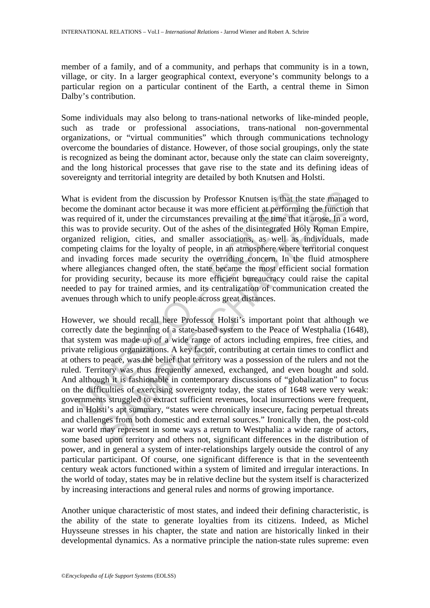member of a family, and of a community, and perhaps that community is in a town, village, or city. In a larger geographical context, everyone's community belongs to a particular region on a particular continent of the Earth, a central theme in Simon Dalby's contribution.

Some individuals may also belong to trans-national networks of like-minded people, such as trade or professional associations, trans-national non-governmental organizations, or "virtual communities" which through communications technology overcome the boundaries of distance. However, of those social groupings, only the state is recognized as being the dominant actor, because only the state can claim sovereignty, and the long historical processes that gave rise to the state and its defining ideas of sovereignty and territorial integrity are detailed by both Knutsen and Holsti.

at is evident from the discussion by Professor Knutsen is that the<br>me the dominant actor because it was more efficient at performin<br>required of it, under the circumstances prevailing at the time that<br>was to provide securit What is evident from the discussion by Professor Knutsen is that the state managed to become the dominant actor because it was more efficient at performing the function that was required of it, under the circumstances prevailing at the time that it arose. In a word, this was to provide security. Out of the ashes of the disintegrated Holy Roman Empire, organized religion, cities, and smaller associations, as well as individuals, made competing claims for the loyalty of people, in an atmosphere where territorial conquest and invading forces made security the overriding concern. In the fluid atmosphere where allegiances changed often, the state became the most efficient social formation for providing security, because its more efficient bureaucracy could raise the capital needed to pay for trained armies, and its centralization of communication created the avenues through which to unify people across great distances.

ident from the discussion by Professor Knutsen is that the state manage<br>dominant actor because it was more efficient at performing the function<br>of of it, under the circumstances prevailing at the time that it arose. In a w However, we should recall here Professor Holsti's important point that although we correctly date the beginning of a state-based system to the Peace of Westphalia (1648), that system was made up of a wide range of actors including empires, free cities, and private religious organizations. A key factor, contributing at certain times to conflict and at others to peace, was the belief that territory was a possession of the rulers and not the ruled. Territory was thus frequently annexed, exchanged, and even bought and sold. And although it is fashionable in contemporary discussions of "globalization" to focus on the difficulties of exercising sovereignty today, the states of 1648 were very weak: governments struggled to extract sufficient revenues, local insurrections were frequent, and in Holsti's apt summary, "states were chronically insecure, facing perpetual threats and challenges from both domestic and external sources." Ironically then, the post-cold war world may represent in some ways a return to Westphalia: a wide range of actors, some based upon territory and others not, significant differences in the distribution of power, and in general a system of inter-relationships largely outside the control of any particular participant. Of course, one significant difference is that in the seventeenth century weak actors functioned within a system of limited and irregular interactions. In the world of today, states may be in relative decline but the system itself is characterized by increasing interactions and general rules and norms of growing importance.

Another unique characteristic of most states, and indeed their defining characteristic, is the ability of the state to generate loyalties from its citizens. Indeed, as Michel Huysseune stresses in his chapter, the state and nation are historically linked in their developmental dynamics. As a normative principle the nation-state rules supreme: even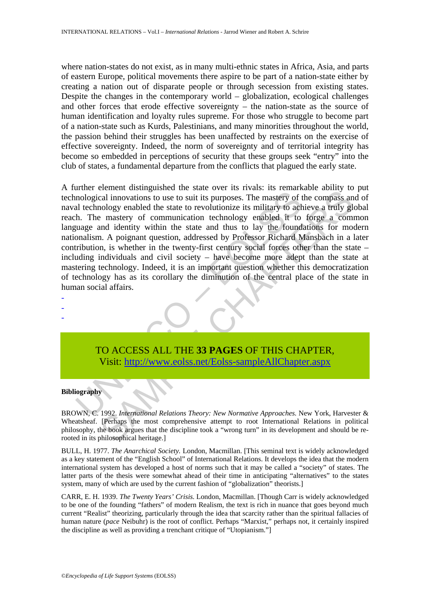where nation-states do not exist, as in many multi-ethnic states in Africa, Asia, and parts of eastern Europe, political movements there aspire to be part of a nation-state either by creating a nation out of disparate people or through secession from existing states. Despite the changes in the contemporary world – globalization, ecological challenges and other forces that erode effective sovereignty – the nation-state as the source of human identification and loyalty rules supreme. For those who struggle to become part of a nation-state such as Kurds, Palestinians, and many minorities throughout the world, the passion behind their struggles has been unaffected by restraints on the exercise of effective sovereignty. Indeed, the norm of sovereignty and of territorial integrity has become so embedded in perceptions of security that these groups seek "entry" into the club of states, a fundamental departure from the conflicts that plagued the early state.

mole conclusion and molecular and the contract in the contract in a ventual including to use to suit its purposes. The mastery of the state and the state to revolutionize its military to ach h. The mastery of communication Exament ussuggained are state over a streats. Its remarkane dentate and innovations to use to suit its purposes. The mastery of the compass and olong enabled the state to revolutionize its military to achieve a truly gleme A further element distinguished the state over its rivals: its remarkable ability to put technological innovations to use to suit its purposes. The mastery of the compass and of naval technology enabled the state to revolutionize its military to achieve a truly global reach. The mastery of communication technology enabled it to forge a common language and identity within the state and thus to lay the foundations for modern nationalism. A poignant question, addressed by Professor Richard Mansbach in a later contribution, is whether in the twenty-first century social forces other than the state – including individuals and civil society – have become more adept than the state at mastering technology. Indeed, it is an important question whether this democratization of technology has as its corollary the diminution of the central place of the state in human social affairs.



#### **Bibliography**

- - -

BROWN, C. 1992. *International Relations Theory: New Normative Approaches.* New York, Harvester & Wheatsheaf. [Perhaps the most comprehensive attempt to root International Relations in political philosophy, the book argues that the discipline took a "wrong turn" in its development and should be rerooted in its philosophical heritage.]

BULL, H. 1977. *The Anarchical Society.* London, Macmillan. [This seminal text is widely acknowledged as a key statement of the "English School" of International Relations. It develops the idea that the modern international system has developed a host of norms such that it may be called a "society" of states. The latter parts of the thesis were somewhat ahead of their time in anticipating "alternatives" to the states system, many of which are used by the current fashion of "globalization" theorists.]

CARR, E. H. 1939. *The Twenty Years' Crisis.* London, Macmillan. [Though Carr is widely acknowledged to be one of the founding "fathers" of modern Realism, the text is rich in nuance that goes beyond much current "Realist" theorizing, particularly through the idea that scarcity rather than the spiritual fallacies of human nature (*pace* Neibuhr) is the root of conflict. Perhaps "Marxist," perhaps not, it certainly inspired the discipline as well as providing a trenchant critique of "Utopianism."]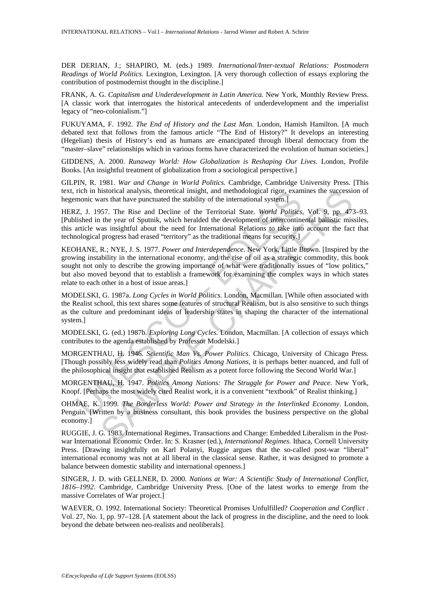DER DERIAN, J.; SHAPIRO, M. (eds.) 1989. *International/Inter-textual Relations: Postmodern Readings of World Politics.* Lexington, Lexington. [A very thorough collection of essays exploring the contribution of postmodernist thought in the discipline.]

FRANK, A. G. *Capitalism and Underdevelopment in Latin America.* New York, Monthly Review Press. [A classic work that interrogates the historical antecedents of underdevelopment and the imperialist legacy of "neo-colonialism."]

FUKUYAMA, F. 1992. *The End of History and the Last Man.* London, Hamish Hamilton. [A much debated text that follows from the famous article "The End of History?" It develops an interesting (Hegelian) thesis of History's end as humans are emancipated through liberal democracy from the "master–slave" relationships which in various forms have characterized the evolution of human societies.]

GIDDENS, A. 2000. *Runaway World: How Globalization is Reshaping Our Lives.* London, Profile Books. [An insightful treatment of globalization from a sociological perspective.]

GILPIN, R. 1981. *War and Change in World Politics.* Cambridge, Cambridge University Press. [This text, rich in historical analysis, theoretical insight, and methodological rigor, examines the succession of hegemonic wars that have punctuated the stability of the international system.

HERZ, J. 1957. The Rise and Decline of the Territorial State. *World Politics,* Vol. 9, pp. 473–93. [Published in the year of Sputnik, which heralded the development of intercontinental ballistic missiles, this article was insightful about the need for International Relations to take into account the fact that technological progress had erased "territory" as the traditional means for security.]

nch in Instorical analysis, theoretical insight, and methodological rigor, exammonic wars that have punctuated the stability of the international system.]<br>
Z, 1, 1957. The Rise and Decline of the Territorial State. World P istorical analysis, theoretical insight, and methodological rigor, examines the successis<br>istorical analysis, theoretical insight, and methodological rigor, examines the successis<br>137. The Rise and Decline of the Territori KEOHANE, R.; NYE, J. S. 1977. *Power and Interdependence*. New York, Little Brown. [Inspired by the growing instability in the international economy, and the rise of oil as a strategic commodity, this book sought not only to describe the growing importance of what were traditionally issues of "low politics," but also moved beyond that to establish a framework for examining the complex ways in which states relate to each other in a host of issue areas.]

MODELSKI, G. 1987a. *Long Cycles in World Politics*. London, Macmillan. [While often associated with the Realist school, this text shares some features of structural Realism, but is also sensitive to such things as the culture and predominant ideas of leadership states in shaping the character of the international system.]

MODELSKI, G. (ed.) 1987b. *Exploring Long Cycles.* London, Macmillan. [A collection of essays which contributes to the agenda established by Professor Modelski.]

MORGENTHAU, H. 1946. *Scientific Man Vs. Power Politics*. Chicago, University of Chicago Press. [Though possibly less widely read than *Politics Among Nations*, it is perhaps better nuanced, and full of the philosophical insight that established Realism as a potent force following the Second World War.]

MORGENTHAU, H. 1947. *Politics Among Nations: The Struggle for Power and Peace*. New York, Knopf. [Perhaps the most widely cited Realist work, it is a convenient "textbook" of Realist thinking.]

OHMAE, K. 1999. *The Borderless World: Power and Strategy in the Interlinked Economy*. London, Penguin. [Written by a business consultant, this book provides the business perspective on the global economy.]

RUGGIE, J. G. 1983. International Regimes, Transactions and Change: Embedded Liberalism in the Postwar International Economic Order. In: S. Krasner (ed.), *International Regimes*. Ithaca, Cornell University Press. [Drawing insightfully on Karl Polanyi, Ruggie argues that the so-called post-war "liberal" international economy was not at all liberal in the classical sense. Rather, it was designed to promote a balance between domestic stability and international openness.]

SINGER, J. D. with GELLNER, D. 2000. *Nations at War: A Scientific Study of International Conflict, 1816–1992*. Cambridge, Cambridge University Press. [One of the latest works to emerge from the massive Correlates of War project.]

WAEVER, O. 1992. International Society: Theoretical Promises Unfulfilled? *Cooperation and Conflict* . Vol. 27, No. 1, pp. 97–128. [A statement about the lack of progress in the discipline, and the need to look beyond the debate between neo-realists and neoliberals].